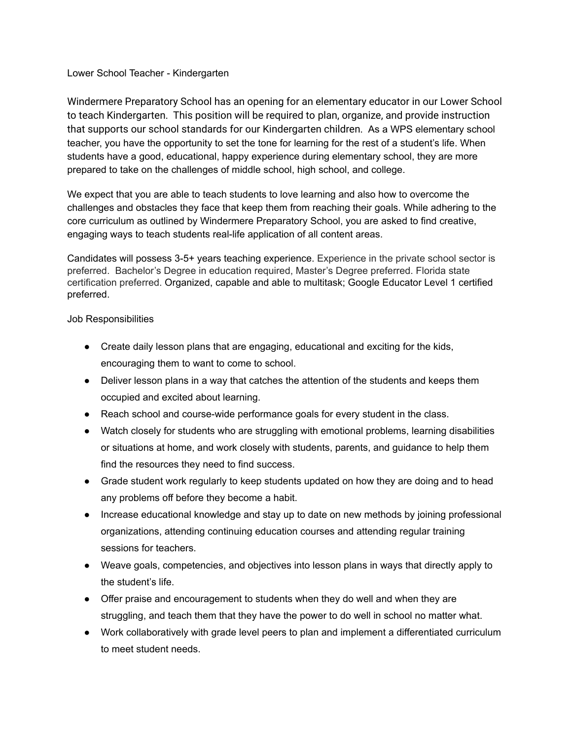## Lower School Teacher - Kindergarten

Windermere Preparatory School has an opening for an elementary educator in our Lower School to teach Kindergarten. This position will be required to plan, organize, and provide instruction that supports our school standards for our Kindergarten children. As a WPS elementary school teacher, you have the opportunity to set the tone for learning for the rest of a student's life. When students have a good, educational, happy experience during elementary school, they are more prepared to take on the challenges of middle school, high school, and college.

We expect that you are able to teach students to love learning and also how to overcome the challenges and obstacles they face that keep them from reaching their goals. While adhering to the core curriculum as outlined by Windermere Preparatory School, you are asked to find creative, engaging ways to teach students real-life application of all content areas.

Candidates will possess 3-5+ years teaching experience. Experience in the private school sector is preferred. Bachelor's Degree in education required, Master's Degree preferred. Florida state certification preferred. Organized, capable and able to multitask; Google Educator Level 1 certified preferred.

## Job Responsibilities

- Create daily lesson plans that are engaging, educational and exciting for the kids, encouraging them to want to come to school.
- Deliver lesson plans in a way that catches the attention of the students and keeps them occupied and excited about learning.
- Reach school and course-wide performance goals for every student in the class.
- Watch closely for students who are struggling with emotional problems, learning disabilities or situations at home, and work closely with students, parents, and guidance to help them find the resources they need to find success.
- Grade student work regularly to keep students updated on how they are doing and to head any problems off before they become a habit.
- Increase educational knowledge and stay up to date on new methods by joining professional organizations, attending continuing education courses and attending regular training sessions for teachers.
- Weave goals, competencies, and objectives into lesson plans in ways that directly apply to the student's life.
- Offer praise and encouragement to students when they do well and when they are struggling, and teach them that they have the power to do well in school no matter what.
- Work collaboratively with grade level peers to plan and implement a differentiated curriculum to meet student needs.